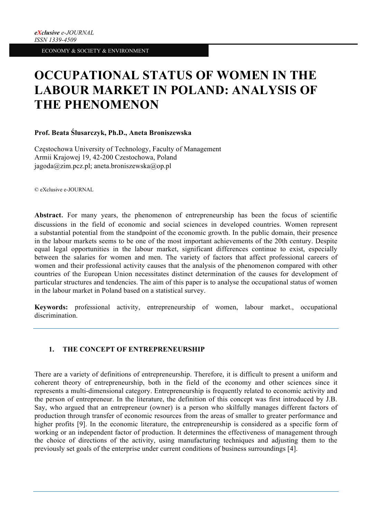# **OCCUPATIONAL STATUS OF WOMEN IN THE LABOUR MARKET IN POLAND: ANALYSIS OF THE PHENOMENON**

## **Prof. Beata Ślusarczyk, Ph.D., Aneta Broniszewska**

Częstochowa University of Technology, Faculty of Management Armii Krajowej 19, 42-200 Czestochowa, Poland jagoda@zim.pcz.pl; aneta.broniszewska@op.pl

© eXclusive e-JOURNAL

**Abstract**. For many years, the phenomenon of entrepreneurship has been the focus of scientific discussions in the field of economic and social sciences in developed countries. Women represent a substantial potential from the standpoint of the economic growth. In the public domain, their presence in the labour markets seems to be one of the most important achievements of the 20th century. Despite equal legal opportunities in the labour market, significant differences continue to exist, especially between the salaries for women and men. The variety of factors that affect professional careers of women and their professional activity causes that the analysis of the phenomenon compared with other countries of the European Union necessitates distinct determination of the causes for development of particular structures and tendencies. The aim of this paper is to analyse the occupational status of women in the labour market in Poland based on a statistical survey.

**Keywords:** professional activity, entrepreneurship of women, labour market., occupational discrimination.

# **1. THE CONCEPT OF ENTREPRENEURSHIP**

There are a variety of definitions of entrepreneurship. Therefore, it is difficult to present a uniform and coherent theory of entrepreneurship, both in the field of the economy and other sciences since it represents a multi-dimensional category. Entrepreneurship is frequently related to economic activity and the person of entrepreneur. In the literature, the definition of this concept was first introduced by J.B. Say, who argued that an entrepreneur (owner) is a person who skilfully manages different factors of production through transfer of economic resources from the areas of smaller to greater performance and higher profits [9]. In the economic literature, the entrepreneurship is considered as a specific form of working or an independent factor of production. It determines the effectiveness of management through the choice of directions of the activity, using manufacturing techniques and adjusting them to the previously set goals of the enterprise under current conditions of business surroundings [4].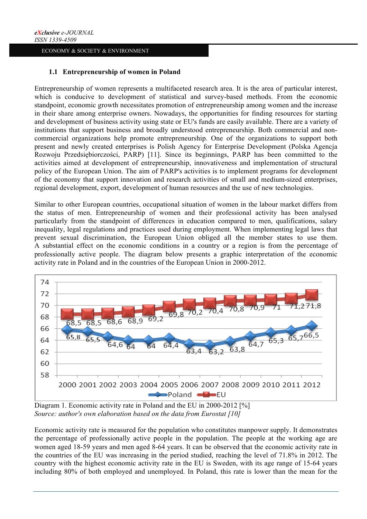## **1.1 Entrepreneurship of women in Poland**

Entrepreneurship of women represents a multifaceted research area. It is the area of particular interest, which is conducive to development of statistical and survey-based methods. From the economic standpoint, economic growth necessitates promotion of entrepreneurship among women and the increase in their share among enterprise owners. Nowadays, the opportunities for finding resources for starting and development of business activity using state or EU's funds are easily available. There are a variety of institutions that support business and broadly understood entrepreneurship. Both commercial and noncommercial organizations help promote entrepreneurship. One of the organizations to support both present and newly created enterprises is Polish Agency for Enterprise Development (Polska Agencja Rozwoju Przedsiębiorczości, PARP) [11]. Since its beginnings, PARP has been committed to the activities aimed at development of entrepreneurship, innovativeness and implementation of structural policy of the European Union. The aim of PARP's activities is to implement programs for development of the economy that support innovation and research activities of small and medium-sized enterprises, regional development, export, development of human resources and the use of new technologies.

Similar to other European countries, occupational situation of women in the labour market differs from the status of men. Entrepreneurship of women and their professional activity has been analysed particularly from the standpoint of differences in education compared to men, qualifications, salary inequality, legal regulations and practices used during employment. When implementing legal laws that prevent sexual discrimination, the European Union obliged all the member states to use them. A substantial effect on the economic conditions in a country or a region is from the percentage of professionally active people. The diagram below presents a graphic interpretation of the economic activity rate in Poland and in the countries of the European Union in 2000-2012.



*Source: author's own elaboration based on the data from Eurostat [10]*

Economic activity rate is measured for the population who constitutes manpower supply. It demonstrates the percentage of professionally active people in the population. The people at the working age are women aged 18-59 years and men aged 8-64 years. It can be observed that the economic activity rate in the countries of the EU was increasing in the period studied, reaching the level of 71.8% in 2012. The country with the highest economic activity rate in the EU is Sweden, with its age range of 15-64 years including 80% of both employed and unemployed. In Poland, this rate is lower than the mean for the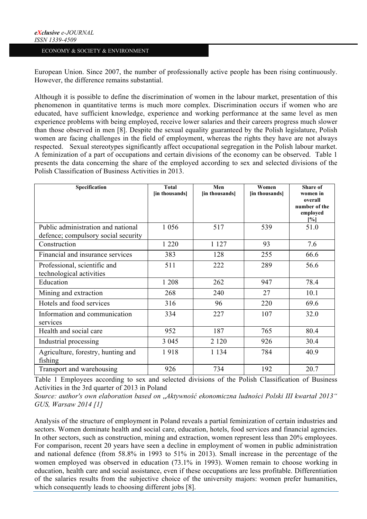European Union. Since 2007, the number of professionally active people has been rising continuously. However, the difference remains substantial.

Although it is possible to define the discrimination of women in the labour market, presentation of this phenomenon in quantitative terms is much more complex. Discrimination occurs if women who are educated, have sufficient knowledge, experience and working performance at the same level as men experience problems with being employed, receive lower salaries and their careers progress much slower than those observed in men [8]. Despite the sexual equality guaranteed by the Polish legislature, Polish women are facing challenges in the field of employment, whereas the rights they have are not always respected. Sexual stereotypes significantly affect occupational segregation in the Polish labour market. A feminization of a part of occupations and certain divisions of the economy can be observed. Table 1 presents the data concerning the share of the employed according to sex and selected divisions of the Polish Classification of Business Activities in 2013.

| Specification                                                             | <b>Total</b><br>[in thousands] | Men<br>[in thousands] | Women<br>[in thousands] | Share of<br>women in<br>overall<br>number of the<br>employed<br>[%] |
|---------------------------------------------------------------------------|--------------------------------|-----------------------|-------------------------|---------------------------------------------------------------------|
| Public administration and national<br>defence; compulsory social security | 1 0 5 6                        | 517                   | 539                     | 51.0                                                                |
| Construction                                                              | 1 2 2 0                        | 1 1 2 7               | 93                      | 7.6                                                                 |
| Financial and insurance services                                          | 383                            | 128                   | 255                     | 66.6                                                                |
| Professional, scientific and<br>technological activities                  | 511                            | 222                   | 289                     | 56.6                                                                |
| Education                                                                 | 1 208                          | 262                   | 947                     | 78.4                                                                |
| Mining and extraction                                                     | 268                            | 240                   | 27                      | 10.1                                                                |
| Hotels and food services                                                  | 316                            | 96                    | 220                     | 69.6                                                                |
| Information and communication<br>services                                 | 334                            | 227                   | 107                     | 32.0                                                                |
| Health and social care                                                    | 952                            | 187                   | 765                     | 80.4                                                                |
| Industrial processing                                                     | 3 0 4 5                        | 2 1 2 0               | 926                     | 30.4                                                                |
| Agriculture, forestry, hunting and<br>fishing                             | 1918                           | 1 1 3 4               | 784                     | 40.9                                                                |
| Transport and warehousing                                                 | 926                            | 734                   | 192                     | 20.7                                                                |

Table 1 Employees according to sex and selected divisions of the Polish Classification of Business Activities in the 3rd quarter of 2013 in Poland

*Source: author's own elaboration based on* "*Aktywność ekonomiczna ludności Polski III kwartał 2013" GUS, Warsaw 2014 [1]*

Analysis of the structure of employment in Poland reveals a partial feminization of certain industries and sectors. Women dominate health and social care, education, hotels, food services and financial agencies. In other sectors, such as construction, mining and extraction, women represent less than 20% employees. For comparison, recent 20 years have seen a decline in employment of women in public administration and national defence (from 58.8% in 1993 to 51% in 2013). Small increase in the percentage of the women employed was observed in education (73.1% in 1993). Women remain to choose working in education, health care and social assistance, even if these occupations are less profitable. Differentiation of the salaries results from the subjective choice of the university majors: women prefer humanities, which consequently leads to choosing different jobs [8].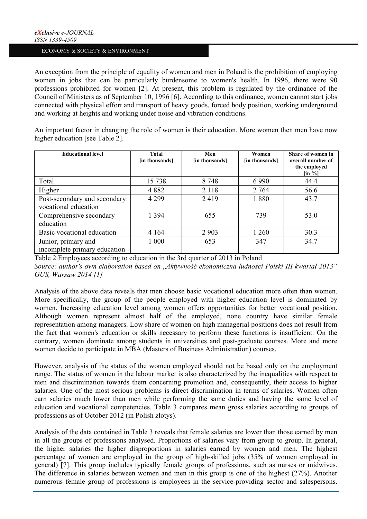An exception from the principle of equality of women and men in Poland is the prohibition of employing women in jobs that can be particularly burdensome to women's health. In 1996, there were 90 professions prohibited for women [2]. At present, this problem is regulated by the ordinance of the Council of Ministers as of September 10, 1996 [6]. According to this ordinance, women cannot start jobs connected with physical effort and transport of heavy goods, forced body position, working underground and working at heights and working under noise and vibration conditions.

An important factor in changing the role of women is their education. More women then men have now higher education [see Table 2].

| <b>Educational level</b>                             | Total<br>[in thousands] | Men<br>[in thousands] | Women<br>[in thousands] | Share of women in<br>overall number of<br>the employed<br>$\left[\text{in } \% \right]$ |
|------------------------------------------------------|-------------------------|-----------------------|-------------------------|-----------------------------------------------------------------------------------------|
| Total                                                | 15 738                  | 8 748                 | 6990                    | 44.4                                                                                    |
| Higher                                               | 4882                    | 2 1 1 8               | 2 7 6 4                 | 56.6                                                                                    |
| Post-secondary and secondary<br>vocational education | 4 2 9 9                 | 2419                  | 1880                    | 43.7                                                                                    |
| Comprehensive secondary<br>education                 | 1 3 9 4                 | 655                   | 739                     | 53.0                                                                                    |
| Basic vocational education                           | 4 1 6 4                 | 2 9 0 3               | 1 260                   | 30.3                                                                                    |
| Junior, primary and<br>incomplete primary education  | 1 000                   | 653                   | 347                     | 34.7                                                                                    |

Table 2 Employees according to education in the 3rd quarter of 2013 in Poland *Source: author's own elaboration based on* "*Aktywność ekonomiczna ludności Polski III kwartał 2013"* 

*GUS, Warsaw 2014 [1]*

Analysis of the above data reveals that men choose basic vocational education more often than women. More specifically, the group of the people employed with higher education level is dominated by women. Increasing education level among women offers opportunities for better vocational position. Although women represent almost half of the employed, none country have similar female representation among managers. Low share of women on high managerial positions does not result from the fact that women's education or skills necessary to perform these functions is insufficient. On the contrary, women dominate among students in universities and post-graduate courses. More and more women decide to participate in MBA (Masters of Business Administration) courses.

However, analysis of the status of the women employed should not be based only on the employment range. The status of women in the labour market is also characterized by the inequalities with respect to men and discrimination towards them concerning promotion and, consequently, their access to higher salaries. One of the most serious problems is direct discrimination in terms of salaries. Women often earn salaries much lower than men while performing the same duties and having the same level of education and vocational competencies. Table 3 compares mean gross salaries according to groups of professions as of October 2012 (in Polish zlotys).

Analysis of the data contained in Table 3 reveals that female salaries are lower than those earned by men in all the groups of professions analysed. Proportions of salaries vary from group to group. In general, the higher salaries the higher disproportions in salaries earned by women and men. The highest percentage of women are employed in the group of high-skilled jobs (35% of women employed in general) [7]. This group includes typically female groups of professions, such as nurses or midwives. The difference in salaries between women and men in this group is one of the highest (27%). Another numerous female group of professions is employees in the service-providing sector and salespersons.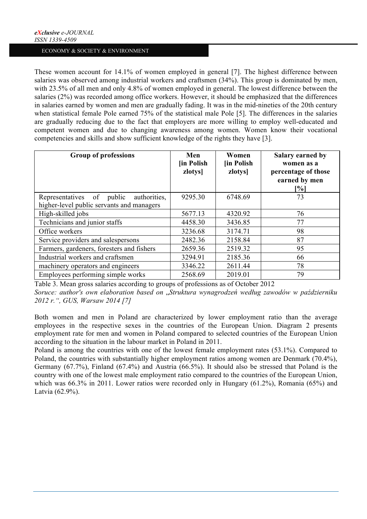These women account for 14.1% of women employed in general [7]. The highest difference between salaries was observed among industrial workers and craftsmen (34%). This group is dominated by men, with 23.5% of all men and only 4.8% of women employed in general. The lowest difference between the salaries (2%) was recorded among office workers. However, it should be emphasized that the differences in salaries earned by women and men are gradually fading. It was in the mid-nineties of the 20th century when statistical female Pole earned 75% of the statistical male Pole [5]. The differences in the salaries are gradually reducing due to the fact that employers are more willing to employ well-educated and competent women and due to changing awareness among women. Women know their vocational competencies and skills and show sufficient knowledge of the rights they have [3].

| <b>Group of professions</b>                                                            | Men<br><b>lin Polish</b><br>zlotys] | Women<br><b>In Polish</b><br>zlotys] | Salary earned by<br>women as a<br>percentage of those<br>earned by men<br>[%] |
|----------------------------------------------------------------------------------------|-------------------------------------|--------------------------------------|-------------------------------------------------------------------------------|
| Representatives of public<br>authorities.<br>higher-level public servants and managers | 9295.30                             | 6748.69                              | 73                                                                            |
| High-skilled jobs                                                                      | 5677.13                             | 4320.92                              | 76                                                                            |
| Technicians and junior staffs                                                          | 4458.30                             | 3436.85                              | 77                                                                            |
| Office workers                                                                         | 3236.68                             | 3174.71                              | 98                                                                            |
| Service providers and salespersons                                                     | 2482.36                             | 2158.84                              | 87                                                                            |
| Farmers, gardeners, foresters and fishers                                              | 2659.36                             | 2519.32                              | 95                                                                            |
| Industrial workers and craftsmen                                                       | 3294.91                             | 2185.36                              | 66                                                                            |
| machinery operators and engineers                                                      | 3346.22                             | 2611.44                              | 78                                                                            |
| Employees performing simple works                                                      | 2568.69                             | 2019.01                              | 79                                                                            |

Table 3. Mean gross salaries according to groups of professions as of October 2012

*Soruce: author's own elaboration based on* "*Struktura wynagrodzeń według zawodów w październiku 2012 r.", GUS, Warsaw 2014 [7]*

Both women and men in Poland are characterized by lower employment ratio than the average employees in the respective sexes in the countries of the European Union. Diagram 2 presents employment rate for men and women in Poland compared to selected countries of the European Union according to the situation in the labour market in Poland in 2011.

Poland is among the countries with one of the lowest female employment rates (53.1%). Compared to Poland, the countries with substantially higher employment ratios among women are Denmark (70.4%), Germany (67.7%), Finland (67.4%) and Austria (66.5%). It should also be stressed that Poland is the country with one of the lowest male employment ratio compared to the countries of the European Union, which was 66.3% in 2011. Lower ratios were recorded only in Hungary (61.2%), Romania (65%) and Latvia (62.9%).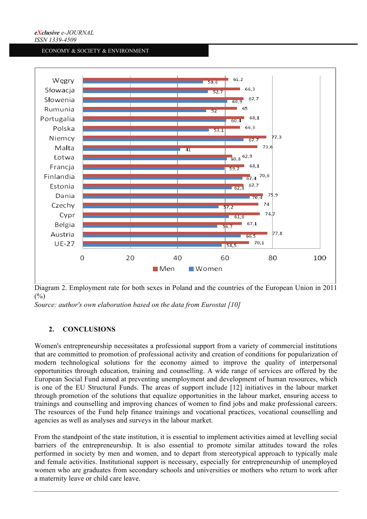

Diagram 2. Employment rate for both sexes in Poland and the countries of the European Union in 2011  $(% )$ 

*Source: author's own elaboration based on the data from Eurostat [10]*

# **2. CONCLUSIONS**

Women's entrepreneurship necessitates a professional support from a variety of commercial institutions that are committed to promotion of professional activity and creation of conditions for popularization of modern technological solutions for the economy aimed to improve the quality of interpersonal opportunities through education, training and counselling. A wide range of services are offered by the European Social Fund aimed at preventing unemployment and development of human resources, which is one of the EU Structural Funds. The areas of support include [12] initiatives in the labour market through promotion of the solutions that equalize opportunities in the labour market, ensuring access to trainings and counselling and improving chances of women to find jobs and make professional careers. The resources of the Fund help finance trainings and vocational practices, vocational counselling and agencies as well as analyses and surveys in the labour market.

From the standpoint of the state institution, it is essential to implement activities aimed at levelling social barriers of the entrepreneurship. It is also essential to promote similar attitudes toward the roles performed in society by men and women, and to depart from stereotypical approach to typically male and female activities. Institutional support is necessary, especially for entrepreneurship of unemployed women who are graduates from secondary schools and universities or mothers who return to work after a maternity leave or child care leave.